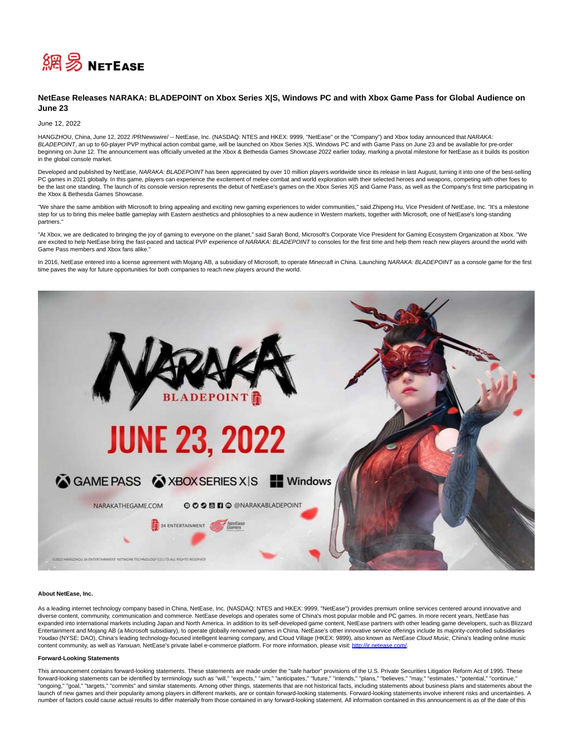

# **NetEase Releases NARAKA: BLADEPOINT on Xbox Series X|S, Windows PC and with Xbox Game Pass for Global Audience on June 23**

June 12, 2022

HANGZHOU, China, June 12, 2022 /PRNewswire/ -- NetEase, Inc. (NASDAQ: NTES and HKEX: 9999, "NetEase" or the "Company") and Xbox today announced that NARAKA: BLADEPOINT, an up to 60-player PVP mythical action combat game, will be launched on Xbox Series X|S, Windows PC and with Game Pass on June 23 and be available for pre-order beginning on June 12. The announcement was officially unveiled at the Xbox & Bethesda Games Showcase 2022 earlier today, marking a pivotal milestone for NetEase as it builds its position in the global console market.

Developed and published by NetEase, NARAKA: BLADEPOINT has been appreciated by over 10 million players worldwide since its release in last August, turning it into one of the best-selling PC games in 2021 globally. In this game, players can experience the excitement of melee combat and world exploration with their selected heroes and weapons, competing with other foes to be the last one standing. The launch of its console version represents the debut of NetEase's games on the Xbox Series X|S and Game Pass, as well as the Company's first time participating in the Xbox & Bethesda Games Showcase.

"We share the same ambition with Microsoft to bring appealing and exciting new gaming experiences to wider communities," said Zhipeng Hu, Vice President of NetEase, Inc. "It's a milestone step for us to bring this melee battle gameplay with Eastern aesthetics and philosophies to a new audience in Western markets, together with Microsoft, one of NetEase's long-standing partners."

"At Xbox, we are dedicated to bringing the joy of gaming to everyone on the planet," said Sarah Bond, Microsoft's Corporate Vice President for Gaming Ecosystem Organization at Xbox. "We are excited to help NetEase bring the fast-paced and tactical PVP experience of NARAKA: BLADEPOINT to consoles for the first time and help them reach new players around the world with Game Pass members and Xbox fans alike.

In 2016, NetEase entered into a license agreement with Mojang AB, a subsidiary of Microsoft, to operate Minecraft in China. Launching NARAKA: BLADEPOINT as a console game for the first time paves the way for future opportunities for both companies to reach new players around the world.



## **About NetEase, Inc.**

As a leading internet technology company based in China, NetEase, Inc. (NASDAQ: NTES and HKEX: 9999, "NetEase") provides premium online services centered around innovative and diverse content, community, communication and commerce. NetEase develops and operates some of China's most popular mobile and PC games. In more recent years, NetEase has expanded into international markets including Japan and North America. In addition to its self-developed game content, NetEase partners with other leading game developers, such as Blizzard Entertainment and Mojang AB (a Microsoft subsidiary), to operate globally renowned games in China. NetEase's other innovative service offerings include its majority-controlled subsidiaries Youdao (NYSE: DAO), China's leading technology-focused intelligent learning company, and Cloud Village (HKEX: 9899), also known as NetEase Cloud Music, China's leading online music content community, as well as Yanxuan, NetEase's private label e-commerce platform. For more information, please visit: http://ir.netease.com

#### **Forward-Looking Statements**

This announcement contains forward-looking statements. These statements are made under the "safe harbor" provisions of the U.S. Private Securities Litigation Reform Act of 1995. These forward-looking statements can be identified by terminology such as "will," "expects," "aim," "anticipates," "future," "intends," "plans," "believes," "may," "estimates," "potential," "continue," "ongoing," "goal," "targets," "commits" and similar statements. Among other things, statements that are not historical facts, including statements about business plans and statements about the launch of new games and their popularity among players in different markets, are or contain forward-looking statements. Forward-looking statements involve inherent risks and uncertainties. A number of factors could cause actual results to differ materially from those contained in any forward-looking statement. All information contained in this announcement is as of the date of this